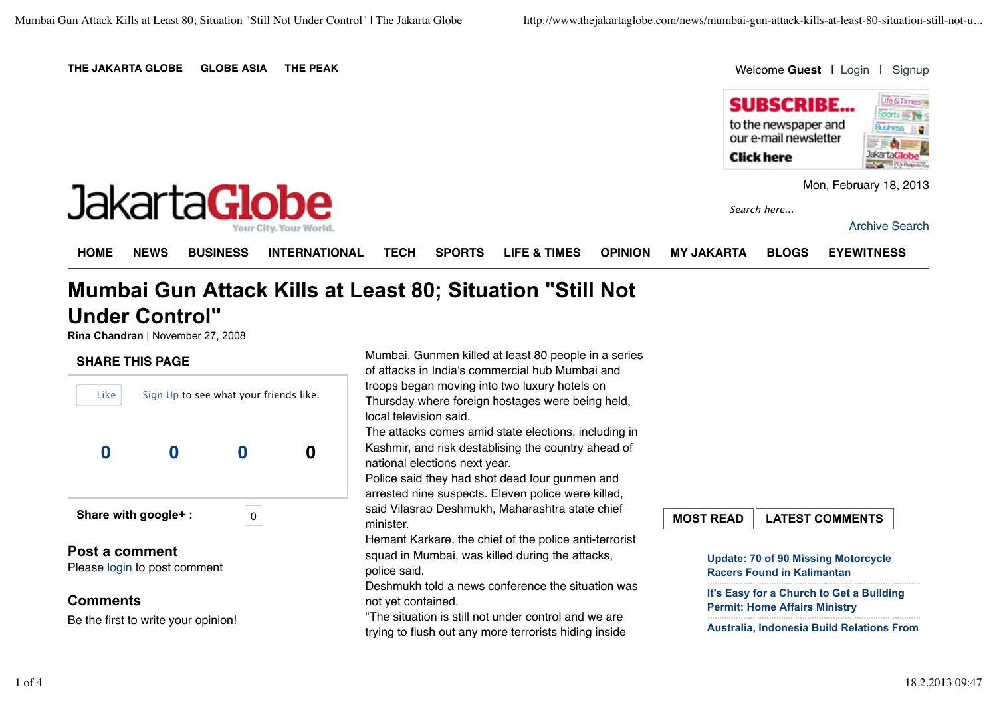**THE JAKARTA GLOBE GLOBE ASIA** THE PEAK **THE SUBSET ASSESSED ASSESSED ASSESSED ASSESSED ASSESSED AS Welcome Guest** I Login I Signup



Mon, February 18, 2013

Search here...

Archive Search



 **HOME NEWS BUSINESS INTERNATIONAL TECH SPORTS LIFE & TIMES OPINION MY JAKARTA BLOGS EYEWITNESS** 

# **Mumbai Gun Attack Kills at Least 80; Situation "Still Not Under Control"**

**Rina Chandran** | November 27, 2008

#### **SHARE THIS PAGE**

| Like                 | Sign Up to see what your friends like. |   |   |
|----------------------|----------------------------------------|---|---|
| O                    | O                                      | O | O |
| Share with google+ : |                                        |   |   |

### **Post a comment**

Please login to post comment

## **Comments**

Be the first to write your opinion!

Mumbai. Gunmen killed at least 80 people in a series of attacks in India's commercial hub Mumbai and troops began moving into two luxury hotels on Thursday where foreign hostages were being held, local television said.

The attacks comes amid state elections, including in Kashmir, and risk destablising the country ahead of national elections next year.

Police said they had shot dead four gunmen and arrested nine suspects. Eleven police were killed, said Vilasrao Deshmukh, Maharashtra state chief minister.

Hemant Karkare, the chief of the police anti-terrorist squad in Mumbai, was killed during the attacks, police said.

Deshmukh told a news conference the situation was not yet contained.

"The situation is still not under control and we are trying to flush out any more terrorists hiding inside **MOST READ LATEST COMMENTS**

**Update: 70 of 90 Missing Motorcycle Racers Found in Kalimantan**

**It's Easy for a Church to Get a Building Permit: Home Affairs Ministry**

**Australia, Indonesia Build Relations From**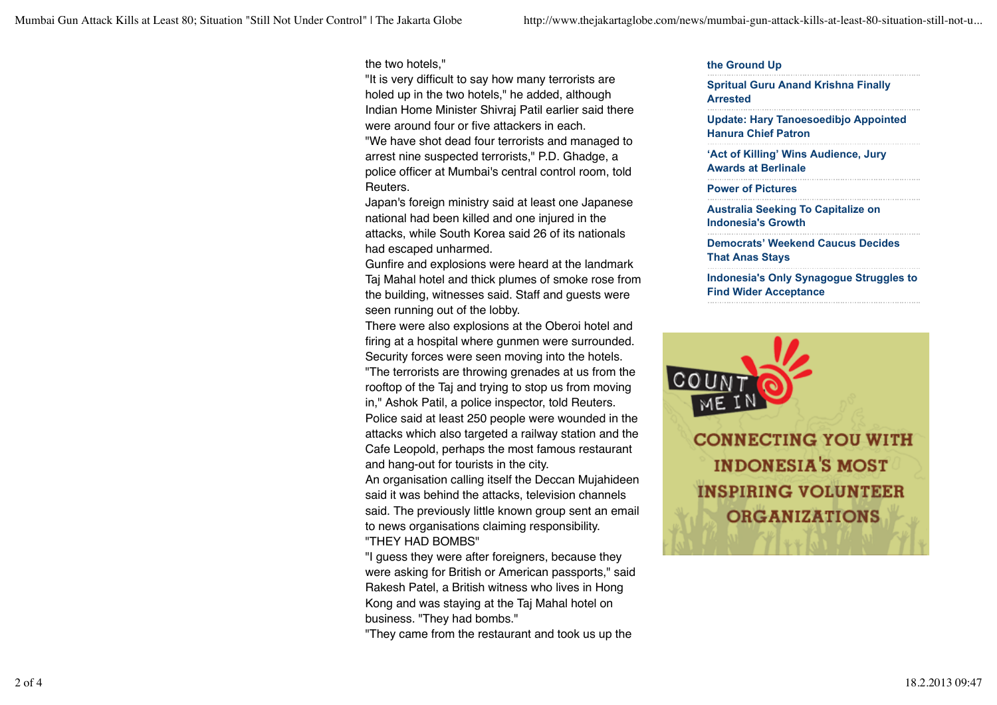the two hotels,"

"It is very difficult to say how many terrorists are holed up in the two hotels," he added, although Indian Home Minister Shivraj Patil earlier said there were around four or five attackers in each.

"We have shot dead four terrorists and managed to arrest nine suspected terrorists," P.D. Ghadge, a police officer at Mumbai's central control room, told Reuters.

Japan's foreign ministry said at least one Japanese national had been killed and one injured in the attacks, while South Korea said 26 of its nationals had escaped unharmed.

Gunfire and explosions were heard at the landmark Taj Mahal hotel and thick plumes of smoke rose from the building, witnesses said. Staff and guests were seen running out of the lobby.

There were also explosions at the Oberoi hotel and firing at a hospital where gunmen were surrounded. Security forces were seen moving into the hotels.

"The terrorists are throwing grenades at us from the rooftop of the Taj and trying to stop us from moving in," Ashok Patil, a police inspector, told Reuters. Police said at least 250 people were wounded in the attacks which also targeted a railway station and the Cafe Leopold, perhaps the most famous restaurant and hang-out for tourists in the city.

An organisation calling itself the Deccan Mujahideen said it was behind the attacks, television channels said. The previously little known group sent an email to news organisations claiming responsibility. "THEY HAD BOMBS"

"I guess they were after foreigners, because they were asking for British or American passports," said Rakesh Patel, a British witness who lives in Hong Kong and was staying at the Taj Mahal hotel on business. "They had bombs."

"They came from the restaurant and took us up the

#### **the Ground Up**

**Spritual Guru Anand Krishna Finally Arrested**

**Update: Hary Tanoesoedibjo Appointed Hanura Chief Patron**

**'Act of Killing' Wins Audience, Jury Awards at Berlinale**

**Power of Pictures**

**Australia Seeking To Capitalize on Indonesia's Growth**

**Democrats' Weekend Caucus Decides That Anas Stays**

**Indonesia's Only Synagogue Struggles to Find Wider Acceptance**

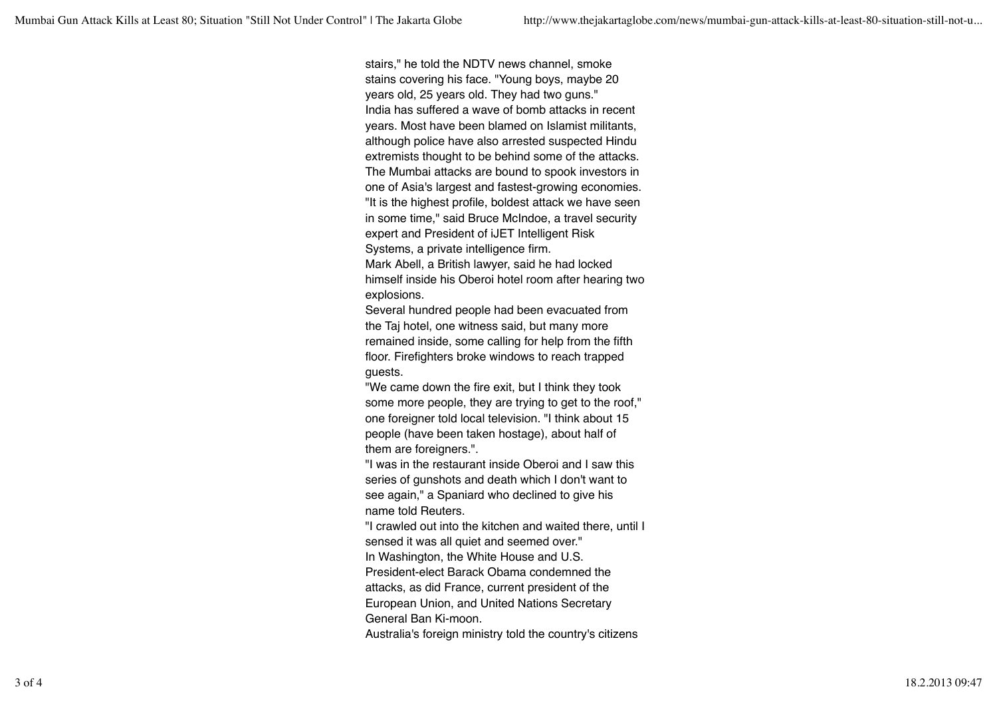stairs," he told the NDTV news channel, smoke stains covering his face. "Young boys, maybe 20 years old, 25 years old. They had two guns." India has suffered a wave of bomb attacks in recent years. Most have been blamed on Islamist militants, although police have also arrested suspected Hindu extremists thought to be behind some of the attacks. The Mumbai attacks are bound to spook investors in one of Asia's largest and fastest-growing economies. "It is the highest profile, boldest attack we have seen in some time," said Bruce McIndoe, a travel security expert and President of iJET Intelligent Risk Systems, a private intelligence firm. Mark Abell, a British lawyer, said he had locked himself inside his Oberoi hotel room after hearing two

explosions.

Several hundred people had been evacuated from the Taj hotel, one witness said, but many more remained inside, some calling for help from the fifth floor. Firefighters broke windows to reach trapped guests.

"We came down the fire exit, but I think they took some more people, they are trying to get to the roof," one foreigner told local television. "I think about 15 people (have been taken hostage), about half of them are foreigners.".

"I was in the restaurant inside Oberoi and I saw this series of gunshots and death which I don't want to see again," a Spaniard who declined to give his name told Reuters.

"I crawled out into the kitchen and waited there, until I sensed it was all quiet and seemed over."

In Washington, the White House and U.S.

President-elect Barack Obama condemned the attacks, as did France, current president of the European Union, and United Nations Secretary General Ban Ki-moon.

Australia's foreign ministry told the country's citizens